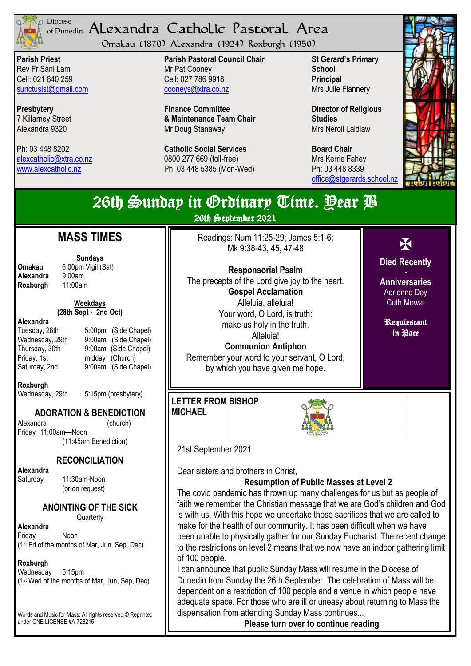

#### <sup>Diocese</sup> Alexandra Catholic Pastoral Area of Dunedin

Omakau (1870) Alexandra (1924) Roxburgh (1950)

**Parish Priest** Rev Fr Sani Lam Cell: 021 840 259 [sunctuslst@gmail.com](mailto:mailto:sunctuslst@gmail.com)

**Presbytery** 7 Killarney Street Alexandra 9320

Ph: 03 448 8202 [alexcatholic@xtra.co.nz](mailto:mailto:alexcatholic@xtra.co.nz) www.alexcatholic.nz

**Parish Pastoral Council Chair** Mr Pat Cooney Cell: 027 786 9918 cooneys@xtra.co.nz

**Finance Committee & Maintenance Team Chair** Mr Doug Stanaway

**Catholic Social Services**  0800 277 669 (toll-free) Ph: 03 448 5385 (Mon-Wed)

**St Gerard's Primary School Principal** Mrs Julie Flannery

**Director of Religious Studies** Mrs Neroli Laidlaw

**Board Chair** Mrs Kerrie Fahey Ph: 03 448 8339 [office@stgerards.school.nz](mailto:mailto:office@stgerards.school.nz)



| 26th Sunday in Grdinary Time. Pear P<br>26th September 2021                                                                                                                                                                                                                                                        |                                                                                                                                                                                                                                                                                                                                                                                                                                                                                                                                                                                                                                                                                                                                                                                                                                                                                                                                                                                                                                                                                  |                                                                                                                         |
|--------------------------------------------------------------------------------------------------------------------------------------------------------------------------------------------------------------------------------------------------------------------------------------------------------------------|----------------------------------------------------------------------------------------------------------------------------------------------------------------------------------------------------------------------------------------------------------------------------------------------------------------------------------------------------------------------------------------------------------------------------------------------------------------------------------------------------------------------------------------------------------------------------------------------------------------------------------------------------------------------------------------------------------------------------------------------------------------------------------------------------------------------------------------------------------------------------------------------------------------------------------------------------------------------------------------------------------------------------------------------------------------------------------|-------------------------------------------------------------------------------------------------------------------------|
| <b>ASS TIMES</b><br><b>Sundays</b><br>00pm Vigil (Sat)<br>)0am<br>:00am<br>Weekdays<br>h Sept - 2nd Oct)<br>5:00pm (Side Chapel)<br>9:00am (Side Chapel)<br>9:00am (Side Chapel)<br>midday (Church)<br>9:00am (Side Chapel)                                                                                        | Readings: Num 11:25-29; James 5:1-6;<br>Mk 9:38-43, 45, 47-48<br><b>Responsorial Psalm</b><br>The precepts of the Lord give joy to the heart.<br><b>Gospel Acclamation</b><br>Alleluia, alleluia!<br>Your word, O Lord, is truth:<br>make us holy in the truth.<br>Alleluia!<br><b>Communion Antiphon</b><br>Remember your word to your servant, O Lord,<br>by which you have given me hope.                                                                                                                                                                                                                                                                                                                                                                                                                                                                                                                                                                                                                                                                                     | X<br><b>Died Recently</b><br><b>Anniversaries</b><br><b>Adrienne Dey</b><br><b>Cuth Mowat</b><br>Requiestant<br>in Pace |
| 5:15pm (presbytery)<br><b>ON &amp; BENEDICTION</b><br>(church)<br>-Noon<br>1:45am Benediction)<br>CONCILIATION<br>:30am-Noon<br>on request)<br><b>TING OF THE SICK</b><br>Quarterly<br>юn<br>hs of Mar, Jun, Sep, Dec)<br>5pm<br>nths of Mar, Jun, Sep, Dec)<br>lass: All rights reserved © Reprinted<br>#A-728215 | <b>LETTER FROM BISHOP</b><br><b>MICHAEL</b><br>21st September 2021<br>Dear sisters and brothers in Christ,<br><b>Resumption of Public Masses at Level 2</b><br>The covid pandemic has thrown up many challenges for us but as people of<br>faith we remember the Christian message that we are God's children and Go<br>is with us. With this hope we undertake those sacrifices that we are called to<br>make for the health of our community. It has been difficult when we have<br>been unable to physically gather for our Sunday Eucharist. The recent chang<br>to the restrictions on level 2 means that we now have an indoor gathering lim<br>of 100 people.<br>I can announce that public Sunday Mass will resume in the Diocese of<br>Dunedin from Sunday the 26th September. The celebration of Mass will be<br>dependent on a restriction of 100 people and a venue in which people have<br>adequate space. For those who are ill or uneasy about returning to Mass the<br>dispensation from attending Sunday Mass continues<br>Please turn over to continue reading |                                                                                                                         |

# **M**

**Omakau** 6:0<br>**Alexandra** 9:0 **Alexandra** 9:00<br>**Roxburgh** 11 **Roxburgh** 

**(28th Sept - 2nd Oct)** 

**Alexandra** Tuesday, 28th

Friday, 1st Saturday, 2nd

Wednesday, 29th Thursday, 30th

**Roxburgh** Wednesday, 29th

## **ADORATI**

Alexandra Friday 11:00am- $(11)$ 

#### REC

**Alexandra**  Saturday 11

 $($ or

**ANOINT** 

**Alexandra** Friday No  $(1<sup>st</sup> Fri of the month)$ 

## **Roxburgh**

 $We$ dnesday 5:1  $(1<sup>st</sup>$  Wed of the mo

Words and Music for M under ONE LICENSE #